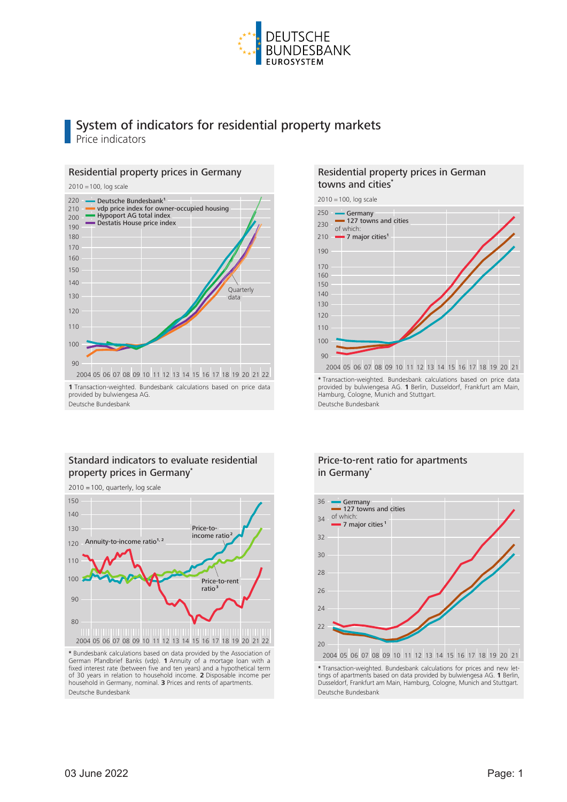

### System of indicators for residential property markets Price indicators



provided by bulwiengesa AG. Deutsche Bundesbank

#### Standard indicators to evaluate residential property prices in Germany**\***

 $2010 = 100$ , quarterly, log scale



German Pfandbrief Banks (vdp). **1** Annuity of a mortage loan with a fixed interest rate (between five and ten years) and a hypothetical term of 30 years in relation to household income. **2** Disposable income per household in Germany, nominal. **3** Prices and rents of apartments. Deutsche Bundesbank

#### Residential property prices in German towns and cities<sup>\*</sup>

2010 = 100, log scale



provided by bulwiengesa AG. 1 Berlin, Dusseldorf, Frankfurt am Main, Hamburg, Cologne, Munich and Stuttgart. Deutsche Bundesbank

#### Price-to-rent ratio for apartments in Germany**\***



**\*** Transaction-weighted. Bundesbank calculations for prices and new lettings of apartments based on data provided by bulwiengesa AG. **1** Berlin, Dusseldorf, Frankfurt am Main, Hamburg, Cologne, Munich and Stuttgart. Deutsche Bundesbank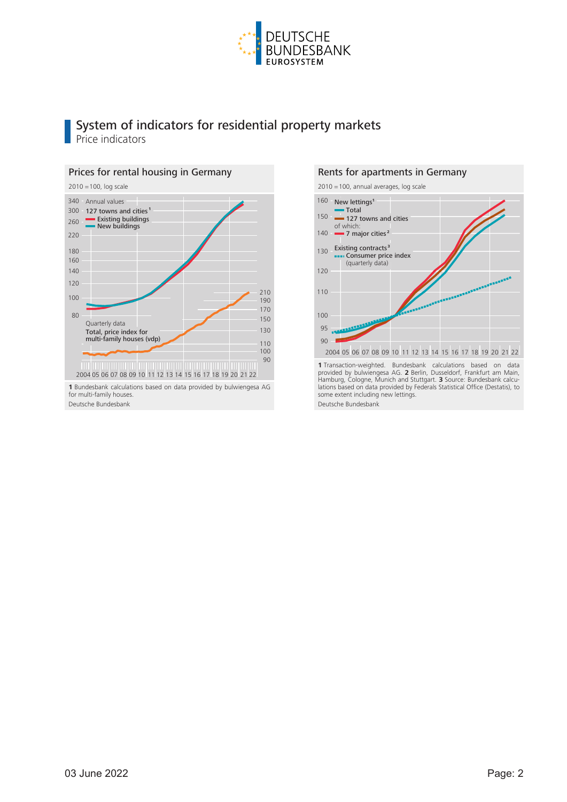

## System of indicators for residential property markets Price indicators



Deutsche Bundesbank

# Rents for apartments in Germany



**1** Transaction-weighted. Bundesbank calculations based on data provided by bulwiengesa AG. **2** Berlin, Dusseldorf, Frankfurt am Main, Hamburg, Cologne, Munich and Stuttgart. **3** Source: Bundesbank calculations based on data provided by Federals Statistical Office (Destatis), to some extent including new lettings. Deutsche Bundesbank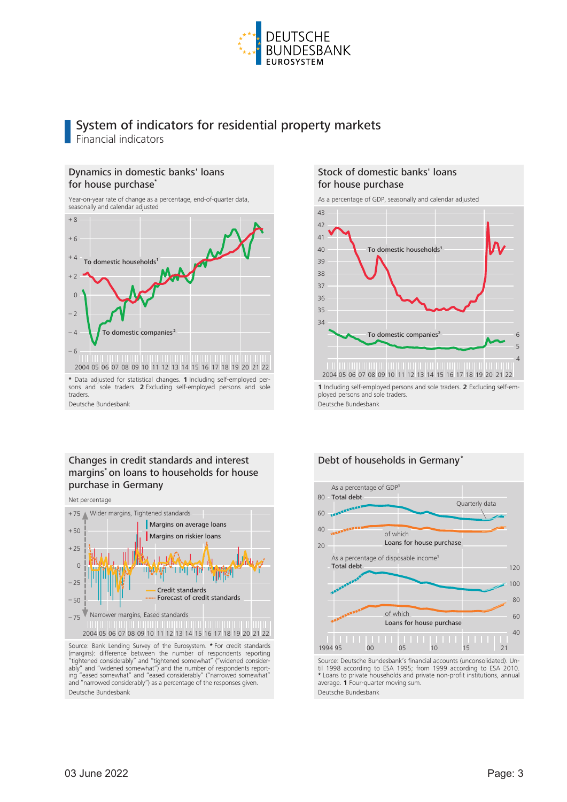

# System of indicators for residential property markets

Financial indicators

#### Dynamics in domestic banks' loans for house purchase**\***

Year-on-year rate of change as a percentage, end-of-quarter data, seasonally and calendar adjusted



#### Changes in credit standards and interest margins**\*** on loans to households for house purchase in Germany

Source: Bank Lending Survey of the Eurosystem. **\*** For credit standards 2004 05 06 07 08 09 10 11 12 13 14 15 16 17 18 19 20 21 22 75 – 50 – 25 –  $\Omega$  $+25$  $+50$ 75 + Wider margins, Tightened standards Narrower margins, Eased standards **Margins on average loans** Margins on riskier loans Credit standards Forecast of credit standards Net percentage

(margins): difference between the number of respondents reporting<br>"tightened considerably" and "tightened somewhat" ("widened consider-<br>ably" and "widened somewhat") and the number of respondents report-<br>ing "eased somewha and "narrowed considerably") as a percentage of the responses given. Deutsche Bundesbank

#### Stock of domestic banks' loans for house purchase

As a percentage of GDP, seasonally and calendar adjusted



Deutsche Bundesbank

## Debt of households in Germany**\***



til 1998 according to ESA 1995; from 1999 according to ESA 2010. **\*** Loans to private households and private non-profit institutions, annual average. **1** Four-quarter moving sum. Deutsche Bundesbank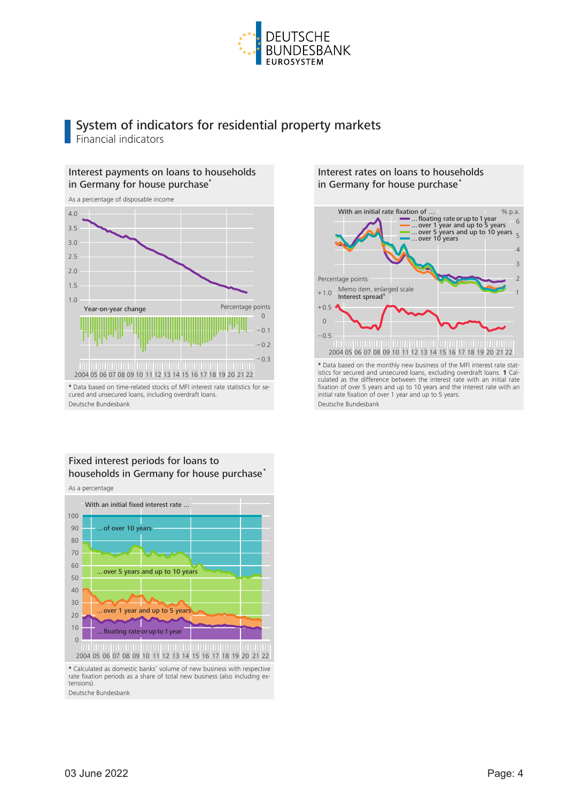

# System of indicators for residential property markets

Financial indicators

#### Interest payments on loans to households in Germany for house purchase**\***



Deutsche Bundesbank

#### Fixed interest periods for loans to households in Germany for house purchase **\***

As a percentage With an initial fixed interest rate ... ... over 5 years and up to 10 years  $of over 10<sub>y</sub>$  $30$ 40 50  $60$ 70 80 90 100

over 1 year and up to 5 years 20 10 . floating rate or up to 1 year 0 <u>monomulumomumu</u> 2004 05 06 07 08 09 10 11 12 13 14 15 16 17 18 19 20 21 22

**\*** Calculated as domestic banks' volume of new business with respective rate fixation periods as a share of total new business (also including extensions). Deutsche Bundesbank

Interest rates on loans to households in Germany for house purchase **\***



fixation of over 5 years and up to 10 years and the interest rate with an initial rate fixation of over 1 year and up to 5 years. Deutsche Bundesbank